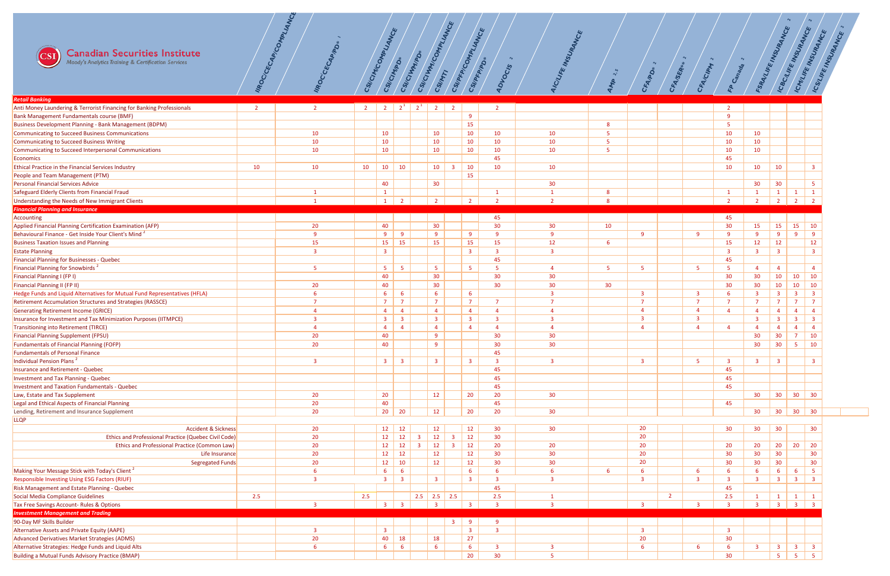

| <b>Canadian Securities Institute</b><br>Moody's Analytics Training & Certification Services |                | IMPOC/CECAP/COMPLIANCE | CSI/CIM/COMPLIANCE |                         | CSI/CIM/PDs             | CSI/CIVITATION          | CSI/CIWWICOMI<br>CSIMMTI | <b>MANCE</b>                                            | CSI/PFP/COMPLIANCE<br>CSI/PFP/PD | $\sim$<br><b>IDVOCIS</b> | E MSURANCE<br>ICIL      | $\sim$   | CFA/PD*                 | CFA/SER        | $\sim$<br>CFA/CIPM      | $\sim$<br><b>P Canada</b> | FSRAILIFE MSURANCE |                         | ICBC/LIFE INSURANCE<br>I CMLIFE INSUPANCE          | ICSYLIFE INSURANCE |
|---------------------------------------------------------------------------------------------|----------------|------------------------|--------------------|-------------------------|-------------------------|-------------------------|--------------------------|---------------------------------------------------------|----------------------------------|--------------------------|-------------------------|----------|-------------------------|----------------|-------------------------|---------------------------|--------------------|-------------------------|----------------------------------------------------|--------------------|
| <b>Retail Banking</b>                                                                       |                |                        |                    |                         |                         |                         |                          |                                                         |                                  |                          |                         |          |                         |                |                         |                           |                    |                         |                                                    |                    |
| Anti Money Laundering & Terrorist Financing for Banking Professionals                       | $\overline{2}$ | $\overline{2}$         | 2 <sup>7</sup>     | $\overline{2}$          | $2^1$                   | $2^1$                   | $\overline{2}$           | $\overline{2}$                                          |                                  | $\overline{2}$           |                         |          |                         |                |                         |                           |                    |                         |                                                    |                    |
| Bank Management Fundamentals course (BMF)                                                   |                |                        |                    |                         |                         |                         |                          |                                                         | 9                                |                          |                         |          |                         |                |                         | $\overline{9}$            |                    |                         |                                                    |                    |
| <b>Business Development Planning - Bank Management (BDPM)</b>                               |                |                        |                    |                         |                         |                         |                          |                                                         | 15                               |                          |                         | 8        |                         |                |                         | 5                         |                    |                         |                                                    |                    |
| Communicating to Succeed Business Communications                                            |                | 10                     |                    | 10 <sub>1</sub>         |                         |                         | 10 <sub>1</sub>          |                                                         | 10                               | 10                       | 10                      |          |                         |                |                         | 10                        | 10                 |                         |                                                    |                    |
| Communicating to Succeed Business Writing                                                   |                | 10                     |                    | 10 <sup>°</sup>         |                         |                         | 10 <sup>°</sup>          |                                                         | 10                               | 10                       | 10                      |          |                         |                |                         | 10                        | 10                 |                         |                                                    |                    |
| Communicating to Succeed Interpersonal Communications                                       |                | 10                     |                    | 10 <sup>°</sup>         |                         |                         | 10 <sup>°</sup>          |                                                         | 10                               | 10                       | 10                      |          |                         |                |                         | 10                        | 10                 |                         |                                                    |                    |
| Economics                                                                                   |                |                        |                    |                         |                         |                         |                          |                                                         |                                  | 45                       |                         |          |                         |                |                         | 45                        |                    |                         |                                                    |                    |
| <b>Ethical Practice in the Financial Services Industry</b>                                  | 10             | 10                     | 10                 | 10 <sub>1</sub>         | 10                      |                         | 10                       | $\overline{3}$                                          | 10                               | 10                       | 10                      |          |                         |                |                         | 10                        | 10                 | 10                      | $\overline{\mathbf{3}}$                            |                    |
| People and Team Management (PTM)                                                            |                |                        |                    |                         |                         |                         |                          |                                                         | 15                               |                          |                         |          |                         |                |                         |                           |                    |                         |                                                    |                    |
| Personal Financial Services Advice                                                          |                |                        |                    | 40                      |                         |                         | 30 <sup>°</sup>          |                                                         |                                  |                          | 30                      |          |                         |                |                         |                           | 30 <sup>°</sup>    | 30                      | $-5$                                               |                    |
| Safeguard Elderly Clients from Financial Fraud                                              |                |                        |                    | $\mathbf{1}$            |                         |                         |                          |                                                         |                                  |                          |                         | -8       |                         |                |                         |                           |                    |                         |                                                    |                    |
| Understanding the Needs of New Immigrant Clients                                            |                |                        |                    | $\mathbf{1}$            | $\overline{2}$          |                         | $\overline{2}$           |                                                         | $\overline{2}$                   |                          | $\mathcal{D}$           | <b>8</b> |                         |                |                         | $\mathcal{D}$             |                    | $\overline{2}$          | $\overline{2}$                                     |                    |
| <b>Financial Planning and Insurance</b>                                                     |                |                        |                    |                         |                         |                         |                          |                                                         |                                  |                          |                         |          |                         |                |                         |                           |                    |                         |                                                    |                    |
| Accounting                                                                                  |                |                        |                    |                         |                         |                         |                          |                                                         |                                  | 45                       |                         |          |                         |                |                         | 45                        |                    |                         |                                                    |                    |
| Applied Financial Planning Certification Examination (AFP)                                  |                | 20                     |                    | 40                      |                         |                         | 30 <sub>o</sub>          |                                                         |                                  | 30                       | 30 <sub>o</sub>         | 10       |                         |                |                         | 30 <sup>°</sup>           | 15                 | 15                      | 15<br>10                                           |                    |
| Behavioural Finance - Get Inside Your Client's Mind <sup>2</sup>                            |                | $\overline{9}$         |                    | 9                       | 9                       |                         | 9                        |                                                         | 9                                | 9                        | 9                       |          | $\mathbf{q}$            |                | 9                       | 9                         | -9                 | 9                       | 9<br>9                                             |                    |
| <b>Business Taxation Issues and Planning</b>                                                |                | 15                     |                    | 15                      | 15                      |                         | 15                       |                                                         | 15                               | 15                       | 12                      | -6       |                         |                |                         | 15                        | 12                 | 12                      | 12                                                 |                    |
| <b>Estate Planning</b>                                                                      |                | 3                      |                    | $\overline{\mathbf{3}}$ |                         |                         |                          |                                                         | $\overline{\mathbf{3}}$          | 3                        | $\overline{3}$          |          |                         |                |                         | $\overline{3}$            | -3                 | $\overline{\mathbf{3}}$ | $\overline{\mathbf{3}}$                            |                    |
| <b>Financial Planning for Businesses - Quebec</b>                                           |                |                        |                    |                         |                         |                         |                          |                                                         |                                  | 45                       |                         |          |                         |                |                         | 45                        |                    |                         |                                                    |                    |
| Financial Planning for Snowbirds <sup>2</sup>                                               |                | 5                      |                    | 5 <sub>o</sub>          | 5 <sub>5</sub>          |                         | 5 <sup>5</sup>           |                                                         | 5 <sub>o</sub>                   | -5                       |                         |          |                         |                | 5                       | -5                        |                    | $\overline{a}$          | $\overline{a}$                                     |                    |
| Financial Planning I (FP I)                                                                 |                |                        |                    | 40                      |                         |                         | 30 <sub>o</sub>          |                                                         |                                  | 30                       | 30                      |          |                         |                |                         | 30 <sup>°</sup>           | 30                 | 10                      | 10<br>10                                           |                    |
| <b>Financial Planning II (FP II)</b>                                                        |                | 20                     |                    | 40                      |                         |                         | 30 <sup>°</sup>          |                                                         |                                  | 30 <sup>°</sup>          | 30                      | 30       |                         |                |                         | 30                        | 30                 | 10                      | 10<br>$\vert$ 10                                   |                    |
| Hedge Funds and Liquid Alternatives for Mutual Fund Representatives (HFLA)                  |                | 6                      |                    | 6 <sup>1</sup>          | $6^{\circ}$             |                         | $6^{\circ}$              |                                                         | $6\overline{6}$                  |                          |                         |          |                         |                | -3                      | 6                         | -3                 | $\overline{\mathbf{3}}$ | $\overline{\mathbf{3}}$<br>$\overline{\mathbf{3}}$ |                    |
| Retirement Accumulation Structures and Strategies (RASSCE)                                  |                |                        |                    | $\overline{7}$          | $\overline{7}$          |                         | $\overline{7}$           |                                                         | $\overline{7}$                   |                          |                         |          |                         |                | $\overline{7}$          | $\overline{7}$            |                    | $\overline{7}$          | $\overline{7}$<br>$\overline{7}$                   |                    |
| <b>Generating Retirement Income (GRICE)</b>                                                 |                | $\overline{4}$         |                    | $\overline{4}$          | $\overline{4}$          |                         | $\overline{4}$           |                                                         | $\overline{4}$                   |                          | $\overline{4}$          |          |                         |                | $\overline{4}$          | $\overline{4}$            |                    | $\overline{4}$          | $\overline{4}$<br>$\overline{4}$                   |                    |
| Insurance for Investment and Tax Minimization Purposes (IITMPCE)                            |                | $\overline{3}$         |                    | $\overline{\mathbf{3}}$ | $\overline{\mathbf{3}}$ |                         | $\overline{\mathbf{3}}$  |                                                         | $\overline{\mathbf{3}}$          | 3                        |                         |          |                         |                | $\overline{\mathbf{3}}$ |                           | 3                  | $\overline{3}$          | $\overline{\mathbf{3}}$<br>$\overline{\mathbf{3}}$ |                    |
| Transitioning into Retirement (TIRCE)                                                       |                | $\overline{4}$         |                    | $\overline{4}$          | $\overline{4}$          |                         | $\overline{4}$           |                                                         | $\overline{4}$                   |                          |                         |          |                         |                | $\overline{4}$          | $\overline{4}$            |                    | $\overline{4}$          | $\overline{4}$<br>$\overline{4}$                   |                    |
| <b>Financial Planning Supplement (FPSU)</b>                                                 |                | 20                     |                    | 40                      |                         |                         | 9                        |                                                         |                                  | 30                       | 30                      |          |                         |                |                         |                           | 30                 | 30                      | $\overline{7}$<br>10                               |                    |
| <b>Fundamentals of Financial Planning (FOFP)</b>                                            |                | 20                     |                    | 40                      |                         |                         | 9                        |                                                         |                                  | 30                       | 30                      |          |                         |                |                         |                           | 30                 | 30 <sub>o</sub>         | $5\phantom{.0}$<br>10                              |                    |
| <b>Fundamentals of Personal Finance</b>                                                     |                |                        |                    |                         |                         |                         |                          |                                                         |                                  | 45                       |                         |          |                         |                |                         |                           |                    |                         |                                                    |                    |
| Individual Pension Plans <sup>2</sup>                                                       |                | $\overline{3}$         |                    | $\overline{\mathbf{3}}$ | $\overline{\mathbf{3}}$ |                         | $\overline{\mathbf{3}}$  |                                                         | $\overline{\mathbf{3}}$          |                          | $\overline{\mathbf{3}}$ |          |                         |                | 5                       | $\overline{3}$            | $\overline{3}$     | $\overline{3}$          | $\overline{\mathbf{3}}$                            |                    |
| <b>Insurance and Retirement - Quebec</b>                                                    |                |                        |                    |                         |                         |                         |                          |                                                         |                                  | 45                       |                         |          |                         |                |                         | 45                        |                    |                         |                                                    |                    |
| Investment and Tax Planning - Quebec                                                        |                |                        |                    |                         |                         |                         |                          |                                                         |                                  | 45                       |                         |          |                         |                |                         | 45                        |                    |                         |                                                    |                    |
| <b>Investment and Taxation Fundamentals - Quebec</b>                                        |                |                        |                    |                         |                         |                         |                          |                                                         |                                  | 45                       |                         |          |                         |                |                         | 45                        |                    |                         |                                                    |                    |
| Law, Estate and Tax Supplement                                                              |                | 20                     |                    | 20                      |                         |                         | 12                       |                                                         | 20 <sub>2</sub>                  | 20                       | 30                      |          |                         |                |                         |                           | 30                 | 30 <sub>o</sub>         | 30 <sub>o</sub><br>$\vert$ 30                      |                    |
| Legal and Ethical Aspects of Financial Planning                                             |                | 20                     |                    | 40                      |                         |                         |                          |                                                         |                                  | 45                       |                         |          |                         |                |                         | 45                        |                    |                         |                                                    |                    |
| Lending, Retirement and Insurance Supplement                                                |                | 20                     |                    | 20 <sub>o</sub>         | 20                      |                         | 12                       |                                                         | 20                               | 20                       | 30                      |          |                         |                |                         |                           | 30 <sup>°</sup>    | 30 <sup>°</sup>         | 30 <sup>°</sup><br>$\vert$ 30                      |                    |
| <b>LLQP</b>                                                                                 |                |                        |                    |                         |                         |                         |                          |                                                         |                                  |                          |                         |          |                         |                |                         |                           |                    |                         |                                                    |                    |
| <b>Accident &amp; Sickness</b>                                                              |                | 20                     |                    | 12                      | 12                      |                         | 12                       |                                                         | 12                               | 30 <sub>o</sub>          | 30 <sup>°</sup>         |          | 20                      |                |                         | 30 <sup>°</sup>           | 30 <sub>o</sub>    | 30 <sub>o</sub>         | 30 <sub>o</sub>                                    |                    |
| Ethics and Professional Practice (Quebec Civil Code)                                        |                | 20                     |                    | 12                      | 12                      | $\overline{3}$          | 12                       | $\overline{3}$                                          | 12                               | 30 <sup>°</sup>          |                         |          | 20                      |                |                         |                           |                    |                         |                                                    |                    |
| Ethics and Professional Practice (Common Law)                                               |                | 20                     |                    | 12                      | 12                      | $\overline{\mathbf{3}}$ | 12                       | $\overline{\mathbf{3}}$                                 | 12                               | 20                       | 20                      |          | 20                      |                |                         | 20                        | 20                 | 20                      | 20<br>20                                           |                    |
| Life Insurance                                                                              |                | 20                     |                    | 12                      | 12                      |                         | 12                       |                                                         | 12                               | 30 <sup>°</sup>          | 30                      |          | 20                      |                |                         | 30                        | 30                 | 30 <sub>o</sub>         | 30                                                 |                    |
| Segregated Funds                                                                            |                | 20                     |                    | 12                      | 10                      |                         | 12                       |                                                         | 12                               | 30                       | 30                      |          | 20                      |                |                         | 30                        | 30                 | 30                      | 30                                                 |                    |
| Making Your Message Stick with Today's Client <sup>2</sup>                                  |                | 6                      |                    | $6^{\circ}$             | $6^{\circ}$             |                         |                          |                                                         | $6\overline{6}$                  |                          | -6                      | -6       |                         |                | -6                      | $6^{\circ}$               | 6                  | 6                       | 6<br>- 5                                           |                    |
| Responsible Investing Using ESG Factors (RIUF)                                              |                | 3                      |                    | 3                       | $\overline{\mathbf{3}}$ |                         | $\overline{\mathbf{3}}$  |                                                         | $\overline{\mathbf{3}}$          |                          |                         |          |                         |                | $\overline{3}$          | $\overline{3}$            | 3                  | $\overline{\mathbf{3}}$ | $\overline{\mathbf{3}}$<br>$\overline{\mathbf{3}}$ |                    |
| Risk Management and Estate Planning - Quebec                                                |                |                        |                    |                         |                         |                         |                          |                                                         |                                  | 45                       |                         |          |                         |                |                         | 45                        |                    |                         |                                                    |                    |
| Social Media Compliance Guidelines                                                          | 2.5            |                        | 2.5                |                         |                         | 2.5                     | $\vert$ 2.5 $\vert$      | $\begin{array}{ c c } \hline 2.5 \\ \hline \end{array}$ |                                  | 2.5                      |                         |          |                         | $\overline{2}$ |                         | 2.5                       |                    |                         | $\mathbf{1}$                                       |                    |
| Tax Free Savings Account- Rules & Options                                                   |                |                        |                    | $\overline{3}$          |                         |                         |                          |                                                         | -3                               |                          |                         |          |                         |                | ె                       | $\mathbf{3}$              | 3                  | $\overline{\mathbf{3}}$ | $\overline{\mathbf{3}}$<br>$\overline{\mathbf{3}}$ |                    |
| <b>Investment Management and Trading</b>                                                    |                |                        |                    |                         |                         |                         |                          |                                                         |                                  |                          |                         |          |                         |                |                         |                           |                    |                         |                                                    |                    |
| 90-Day MF Skills Builder                                                                    |                |                        |                    |                         |                         |                         |                          | 3 <sup>7</sup>                                          | 9                                | -9                       |                         |          |                         |                |                         |                           |                    |                         |                                                    |                    |
| Alternative Assets and Private Equity (AAPE)                                                |                |                        |                    | $\overline{\mathbf{3}}$ |                         |                         |                          |                                                         | $\overline{\mathbf{3}}$          | $\overline{3}$           |                         |          | $\overline{\mathbf{3}}$ |                |                         | $\overline{3}$            |                    |                         |                                                    |                    |
| Advanced Derivatives Market Strategies (ADMS)                                               |                | 20                     |                    | 40                      | 18                      |                         | 18                       |                                                         | 27                               |                          |                         |          | 20                      |                |                         | 30 <sup>°</sup>           |                    |                         |                                                    |                    |
| Alternative Strategies: Hedge Funds and Liquid Alts                                         |                |                        |                    | 6 <sup>1</sup>          | $6\overline{6}$         |                         | 6 <sup>1</sup>           |                                                         | $6\overline{6}$                  | 3                        |                         |          |                         |                | 6                       | 6                         | 3                  | $\overline{\mathbf{3}}$ | $3 \mid 3$                                         |                    |
| <b>Building a Mutual Funds Advisory Practice (BMAP)</b>                                     |                |                        |                    |                         |                         |                         |                          |                                                         | 20 <sub>2</sub>                  | 30 <sup>°</sup>          |                         |          |                         |                |                         | 30 <sup>°</sup>           |                    | $5 \mid$                | $5 \mid 5$                                         |                    |
|                                                                                             |                |                        |                    |                         |                         |                         |                          |                                                         |                                  |                          |                         |          |                         |                |                         |                           |                    |                         |                                                    |                    |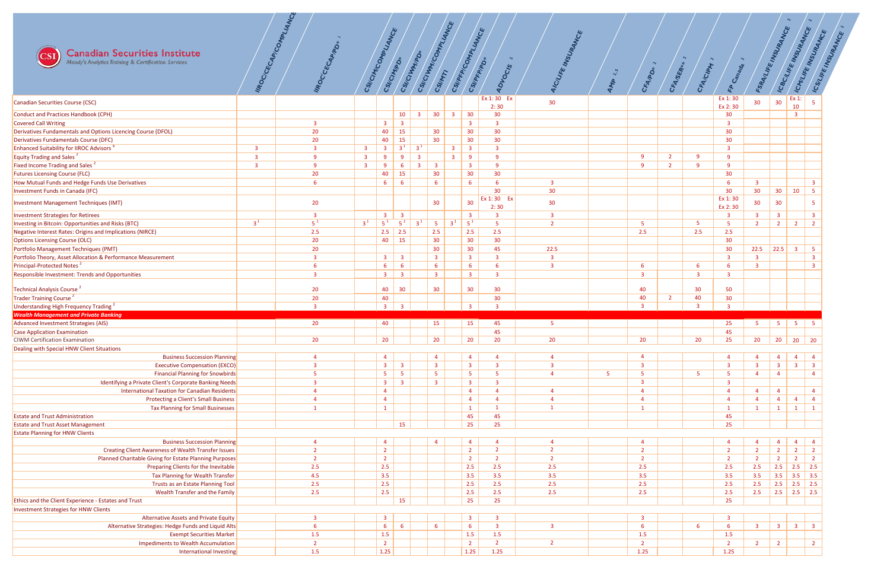

| <b>Canadian Securities Institute</b><br>$\mathbb{C}\mathbf{S}\mathbf{I}$<br>Moody's Analytics Training & Certification Services |                         | IIROC/CECAP/COMPLIANCE<br>IMOCCECAPIPD | CSI/CINI <sub>CONDLIANCE</sub> | CSI/CINTAD                                | CSI/CIVINADA                               |                         | CSI/CITHAT COMPLIANCE                      |                         | CSI/PFP/COMPLIANCE<br>CSI/PFP/PD*          | $\sim$<br><b>ADVOCIS</b> | AICILIFE INSURANCE | $\mathbf{v}$ | $\sim$<br>CFAIRD* | CFA/SER*       | $\sim$<br>CFAICIPM | $\sim$<br>FP Canada        | FSRANLIFE INSURANCE     |                                                                    | ICBC/LIFE INSURANCE<br>ICMUREINSURANCE                                    | ICSILIFE INSURANCE |
|---------------------------------------------------------------------------------------------------------------------------------|-------------------------|----------------------------------------|--------------------------------|-------------------------------------------|--------------------------------------------|-------------------------|--------------------------------------------|-------------------------|--------------------------------------------|--------------------------|--------------------|--------------|-------------------|----------------|--------------------|----------------------------|-------------------------|--------------------------------------------------------------------|---------------------------------------------------------------------------|--------------------|
| Canadian Securities Course (CSC)                                                                                                |                         |                                        |                                |                                           |                                            |                         |                                            |                         |                                            | Ex 1:30 Ex               | 30 <sub>o</sub>    |              |                   |                |                    | Ex 1:30                    | 30 <sup>°</sup>         | 30                                                                 | Ex 1:                                                                     |                    |
| Conduct and Practices Handbook (CPH)                                                                                            |                         |                                        |                                |                                           | 10                                         | $\overline{\mathbf{3}}$ | 30 <sup>°</sup>                            | $\overline{\mathbf{3}}$ | $\vert$ 30                                 | 2:30<br>30 <sub>o</sub>  |                    |              |                   |                |                    | Ex 2:30<br>30 <sup>°</sup> |                         |                                                                    | 10<br>$\overline{\mathbf{3}}$                                             |                    |
| Covered Call Writing                                                                                                            |                         | $\overline{3}$                         |                                | $\overline{\mathbf{3}}$                   | $\overline{\mathbf{3}}$                    |                         |                                            |                         | $\overline{\mathbf{3}}$                    | $\overline{\mathbf{3}}$  |                    |              |                   |                |                    | $\overline{\mathbf{3}}$    |                         |                                                                    |                                                                           |                    |
| Derivatives Fundamentals and Options Licencing Course (DFOL)                                                                    |                         | 20                                     |                                | 40                                        | 15                                         |                         | 30 <sup>°</sup>                            |                         | 30                                         | 30 <sub>o</sub>          |                    |              |                   |                |                    | 30                         |                         |                                                                    |                                                                           |                    |
| Derivatives Fundamentals Course (DFC)                                                                                           |                         | 20                                     |                                | 40                                        | 15                                         |                         | 30 <sub>o</sub>                            |                         | 30 <sup>°</sup>                            | 30 <sub>o</sub>          |                    |              |                   |                |                    | 30                         |                         |                                                                    |                                                                           |                    |
| <b>Enhanced Suitability for IIROC Advisors</b>                                                                                  | $\overline{\mathbf{3}}$ | $\overline{3}$                         | $\overline{\mathbf{3}}$        | $\overline{\mathbf{3}}$                   | 3 <sup>1</sup>                             | $3^1$                   |                                            | $\overline{\mathbf{3}}$ | $\overline{\mathbf{3}}$                    | $\overline{3}$           |                    |              |                   |                |                    | $\mathbf{3}$               |                         |                                                                    |                                                                           |                    |
| Equity Trading and Sales <sup>2</sup>                                                                                           | 3                       | 9                                      | $\overline{\mathbf{3}}$        | 9                                         | -9                                         | $\overline{\mathbf{3}}$ |                                            | $\overline{\mathbf{3}}$ | 9                                          | 9                        |                    |              | 9                 | $\overline{2}$ | $\mathbf{Q}$       | -9                         |                         |                                                                    |                                                                           |                    |
| Fixed Income Trading and Sales <sup>2</sup>                                                                                     | $\overline{3}$          | $\mathbf{q}$                           | $\overline{\mathbf{3}}$        | 9                                         | 6                                          | $\overline{3}$          | $\overline{\mathbf{3}}$                    |                         | $\overline{\mathbf{3}}$                    | $\mathbf{q}$             |                    |              | $\mathbf{q}$      | ാ              | $\Omega$           | $\alpha$                   |                         |                                                                    |                                                                           |                    |
| <b>Futures Licensing Course (FLC)</b>                                                                                           |                         | 20                                     |                                | 40                                        | 15                                         |                         | 30                                         |                         | 30 <sup>°</sup>                            | 30 <sup>°</sup>          |                    |              |                   |                |                    | 30                         |                         |                                                                    |                                                                           |                    |
| How Mutual Funds and Hedge Funds Use Derivatives                                                                                |                         | 6                                      |                                | $6^{\circ}$                               | 6                                          |                         | 6                                          |                         | 6                                          | 6                        | $\overline{3}$     |              |                   |                |                    |                            | $\overline{\mathbf{3}}$ |                                                                    | $\overline{\mathbf{3}}$                                                   |                    |
| Investment Funds in Canada (IFC)                                                                                                |                         |                                        |                                |                                           |                                            |                         |                                            |                         |                                            | 30<br>Ex 1:30 Ex         | 30 <sup>°</sup>    |              |                   |                |                    | 30<br>Ex 1:30              | 30 <sup>°</sup>         | 30 <sup>°</sup>                                                    | $5^{\circ}$<br>10                                                         |                    |
| Investment Management Techniques (IMT)                                                                                          |                         | 20 <sub>2</sub>                        |                                |                                           |                                            |                         | 30 <sup>°</sup>                            |                         | 30 <sup>°</sup>                            | 2:30                     | 30 <sub>o</sub>    |              |                   |                |                    | Ex 2:30                    | 30 <sup>°</sup>         | 30                                                                 | -5                                                                        |                    |
| Investment Strategies for Retirees                                                                                              |                         | 3                                      |                                | $\overline{\mathbf{3}}$                   | $\overline{\mathbf{3}}$                    |                         |                                            |                         | $\overline{\mathbf{3}}$                    |                          | $\overline{3}$     |              |                   |                |                    | $\overline{\mathbf{3}}$    | 3                       | $\overline{3}$                                                     | $\overline{\mathbf{3}}$                                                   |                    |
| Investing in Bitcoin: Opportunities and Risks (BTC)                                                                             | $3^1$                   | $5^1$                                  | $3^1$                          | $5^1$                                     | $5^1$                                      | $3^1$                   | 5 <sup>5</sup>                             | $3^1$                   | $5^1$                                      |                          | $\overline{2}$     |              | 5                 |                | 5                  |                            | $\overline{2}$          | $\vert$ 2 $\vert$                                                  | $\overline{2}$<br>$\overline{2}$                                          |                    |
| Negative Interest Rates: Origins and Implications (NIRCE)                                                                       |                         | 2.5                                    |                                |                                           | $2.5$ 2.5                                  |                         | 2.5                                        |                         | 2.5                                        | 2.5                      |                    |              | 2.5               |                | 2.5                | 2.5                        |                         |                                                                    |                                                                           |                    |
| <b>Options Licensing Course (OLC)</b>                                                                                           |                         | 20                                     |                                | 40                                        | <b>15</b>                                  |                         | 30 <sub>o</sub>                            |                         | 30 <sub>o</sub>                            | 30 <sub>o</sub>          |                    |              |                   |                |                    | 30                         |                         |                                                                    |                                                                           |                    |
| Portfolio Management Techniques (PMT)                                                                                           |                         | 20                                     |                                |                                           |                                            |                         | 30 <sup>°</sup>                            |                         | 30 <sup>°</sup>                            | 45                       | 22.5               |              |                   |                |                    | 30                         | 22.5                    | $\begin{array}{ c c c c c } \hline 22.5 & 3 \\ \hline \end{array}$ | $5\overline{5}$                                                           |                    |
| Portfolio Theory, Asset Allocation & Performance Measurement                                                                    |                         |                                        |                                |                                           | $3 \mid 3$                                 |                         | $\overline{\mathbf{3}}$                    |                         | $\overline{\mathbf{3}}$                    |                          | $\overline{3}$     |              |                   |                |                    | ່ວ                         | $\overline{\mathbf{3}}$ |                                                                    | $\overline{\mathbf{3}}$                                                   |                    |
| Principal-Protected Notes <sup>2</sup><br>Responsible Investment: Trends and Opportunities                                      |                         | $\overline{3}$                         |                                | $6\overline{6}$<br>3 <sup>7</sup>         | $6\overline{6}$<br>$\overline{\mathbf{3}}$ |                         | $6\overline{6}$<br>$\overline{\mathbf{3}}$ |                         | 6<br>$\overline{\mathbf{3}}$               | $\mathbf{R}$             | 3                  |              | 6<br>3            |                | $\overline{3}$     |                            |                         |                                                                    |                                                                           |                    |
|                                                                                                                                 |                         |                                        |                                |                                           |                                            |                         |                                            |                         |                                            |                          |                    |              |                   |                |                    |                            |                         |                                                                    |                                                                           |                    |
| Technical Analysis Course <sup>2</sup>                                                                                          |                         | 20                                     |                                | 40                                        | 30                                         |                         | 30 <sup>°</sup>                            |                         | 30 <sup>°</sup>                            | 30                       |                    |              | 40                |                | 30                 | 50                         |                         |                                                                    |                                                                           |                    |
| Trader Training Course <sup>2</sup>                                                                                             |                         | 20                                     |                                | 40                                        |                                            |                         |                                            |                         |                                            | 30 <sup>°</sup>          |                    |              | 40                | $\overline{2}$ | 40                 | 30                         |                         |                                                                    |                                                                           |                    |
| Understanding High Frequency Trading <sup>2</sup>                                                                               |                         |                                        |                                | $\overline{\mathbf{3}}$                   | $\overline{3}$                             |                         |                                            |                         | $\overline{\mathbf{3}}$                    |                          |                    |              | $\mathbf{3}$      |                |                    |                            |                         |                                                                    |                                                                           |                    |
| <b>Wealth Management and Private Banking</b>                                                                                    |                         |                                        |                                |                                           |                                            |                         |                                            |                         |                                            |                          |                    |              |                   |                |                    |                            |                         |                                                                    |                                                                           |                    |
| Advanced Investment Strategies (AIS)                                                                                            |                         | 20 <sub>2</sub>                        |                                | 40                                        |                                            |                         | 15                                         |                         | 15                                         | 45                       | 5                  |              |                   |                |                    | 25                         | 5 <sub>1</sub>          |                                                                    | $\begin{array}{c c c c c c c c} \hline & 5 & 5 & 5 \\ \hline \end{array}$ |                    |
| Case Application Examination<br><b>CIWM Certification Examination</b>                                                           |                         | 20                                     |                                | 20 <sub>2</sub>                           |                                            |                         | 20                                         |                         | 20                                         | 45<br>20                 | 20                 |              | 20                |                | 20                 | 45<br>25                   | 20                      |                                                                    | 20 20 20                                                                  |                    |
| Dealing with Special HNW Client Situations                                                                                      |                         |                                        |                                |                                           |                                            |                         |                                            |                         |                                            |                          |                    |              |                   |                |                    |                            |                         |                                                                    |                                                                           |                    |
| <b>Business Succession Planning</b>                                                                                             |                         |                                        |                                | $\overline{4}$                            |                                            |                         | $\overline{a}$                             |                         | $\overline{4}$                             |                          |                    |              | $\overline{a}$    |                |                    |                            |                         | $\overline{4}$                                                     | $\overline{4}$<br>$\overline{a}$                                          |                    |
| <b>Executive Compensation (EXCO)</b>                                                                                            |                         |                                        |                                | 3 <sup>7</sup>                            | $\overline{\mathbf{3}}$                    |                         | $\overline{\mathbf{3}}$                    |                         | $\overline{\mathbf{3}}$                    | 3                        | 3                  |              | $\overline{3}$    |                |                    | $\mathbf{3}$               | $\overline{3}$          | 3 <sup>1</sup>                                                     | $\overline{\mathbf{3}}$<br>$\overline{\mathbf{3}}$                        |                    |
| <b>Financial Planning for Snowbirds</b>                                                                                         |                         |                                        |                                | 5 <sub>1</sub>                            | $5^{\circ}$                                |                         | 5 <sup>5</sup>                             |                         | $-5$                                       |                          | Δ                  | 5            | 5                 |                | 5                  |                            | $\overline{a}$          |                                                                    |                                                                           |                    |
| Identifying a Private Client's Corporate Banking Needs                                                                          |                         |                                        |                                | $\overline{3}$                            | $\overline{\mathbf{3}}$                    |                         | $\overline{\mathbf{3}}$                    |                         | $\overline{\mathbf{3}}$                    |                          |                    |              | 3                 |                |                    |                            |                         |                                                                    |                                                                           |                    |
| International Taxation for Canadian Residents                                                                                   |                         |                                        |                                | $\overline{4}$                            |                                            |                         |                                            |                         | $\overline{4}$                             |                          | $\overline{4}$     |              | $\overline{4}$    |                |                    |                            | $\overline{4}$          | $\Delta$                                                           | $\Delta$                                                                  |                    |
| Protecting a Client's Small Business                                                                                            |                         |                                        |                                | $\overline{4}$                            |                                            |                         |                                            |                         | $\overline{4}$                             |                          |                    |              | $\overline{4}$    |                |                    |                            |                         | $\overline{4}$                                                     | $\overline{4}$<br>$\overline{4}$                                          |                    |
| <b>Tax Planning for Small Businesses</b>                                                                                        |                         |                                        |                                | $\mathbf{1}$                              |                                            |                         |                                            |                         | $\overline{1}$                             |                          |                    |              |                   |                |                    |                            | $\mathbf{1}$            | $\overline{1}$                                                     | $\overline{1}$<br>$\mathbf{1}$                                            |                    |
| <b>Estate and Trust Administration</b>                                                                                          |                         |                                        |                                |                                           |                                            |                         |                                            |                         | 45                                         | 45                       |                    |              |                   |                |                    | 45                         |                         |                                                                    |                                                                           |                    |
| <b>Estate and Trust Asset Management</b><br><b>Estate Planning for HNW Clients</b>                                              |                         |                                        |                                |                                           | 15                                         |                         |                                            |                         | 25                                         | 25                       |                    |              |                   |                |                    | 25                         |                         |                                                                    |                                                                           |                    |
| <b>Business Succession Planning</b>                                                                                             |                         |                                        |                                | $\overline{4}$                            |                                            |                         | $\Delta$                                   |                         | $\overline{4}$                             |                          |                    |              |                   |                |                    |                            |                         | $\Delta$                                                           | $\overline{4}$<br>$\overline{4}$                                          |                    |
| <b>Creating Client Awareness of Wealth Transfer Issues</b>                                                                      |                         |                                        |                                | $\overline{2}$                            |                                            |                         |                                            |                         | $\overline{2}$                             |                          | $\overline{2}$     |              | ാ                 |                |                    |                            |                         | $\overline{2}$                                                     | $\overline{2}$<br>$\overline{2}$                                          |                    |
| Planned Charitable Giving for Estate Planning Purposes                                                                          |                         |                                        |                                | $\overline{2}$                            |                                            |                         |                                            |                         | $\overline{2}$                             | $\mathcal{D}$            | $\overline{2}$     |              | $\overline{2}$    |                |                    |                            |                         | $\overline{2}$                                                     | $\overline{2}$<br>$\overline{2}$                                          |                    |
| Preparing Clients for the Inevitable                                                                                            |                         | 2.5                                    |                                | 2.5                                       |                                            |                         |                                            |                         | 2.5                                        | 2.5                      | 2.5                |              | 2.5               |                |                    | 2.5                        | 2.5                     | 2.5                                                                | 2.5<br>$\begin{array}{ c c } \hline 2.5 \\ \hline \end{array}$            |                    |
| Tax Planning for Wealth Transfer                                                                                                |                         | 4.5                                    |                                | 3.5                                       |                                            |                         |                                            |                         | 3.5                                        | 3.5                      | 3.5                |              | 3.5               |                |                    | 3.5                        | 3.5                     | 3.5                                                                | 3.5<br>$\vert$ 3.5                                                        |                    |
| Trusts as an Estate Planning Tool                                                                                               |                         | 2.5                                    |                                | 2.5                                       |                                            |                         |                                            |                         | 2.5                                        | 2.5                      | 2.5                |              | 2.5               |                |                    | 2.5                        | 2.5                     | 2.5                                                                | 2.5<br>$\begin{array}{ c c } \hline 2.5 \\ \hline \end{array}$            |                    |
| Wealth Transfer and the Family                                                                                                  |                         | 2.5                                    |                                | 2.5                                       |                                            |                         |                                            |                         | 2.5                                        | 2.5                      | 2.5                |              | 2.5               |                |                    | 2.5                        | 2.5                     |                                                                    | 2.5 2.5 2.5                                                               |                    |
| Ethics and the Client Experience - Estates and Trust                                                                            |                         |                                        |                                |                                           | 15                                         |                         |                                            |                         | 25                                         | 25                       |                    |              |                   |                |                    | 25                         |                         |                                                                    |                                                                           |                    |
| Investment Strategies for HNW Clients                                                                                           |                         |                                        |                                |                                           |                                            |                         |                                            |                         |                                            |                          |                    |              |                   |                |                    |                            |                         |                                                                    |                                                                           |                    |
| <b>Alternative Assets and Private Equity</b><br>Alternative Strategies: Hedge Funds and Liquid Alts                             |                         | 3                                      |                                | $\overline{\mathbf{3}}$<br>6 <sup>1</sup> | $6\overline{6}$                            |                         | $6\overline{6}$                            |                         | $\overline{\mathbf{3}}$<br>$6\overline{6}$ | -3<br>$\overline{3}$     | $\overline{3}$     |              | 3<br>6            |                |                    | $\overline{\mathbf{3}}$    | 3 <sup>7</sup>          |                                                                    | $3 \mid 3 \mid$<br>$\overline{\mathbf{3}}$                                |                    |
| <b>Exempt Securities Market</b>                                                                                                 |                         | 1.5                                    |                                | 1.5                                       |                                            |                         |                                            |                         | 1.5                                        | 1.5                      |                    |              | 1.5               |                |                    | 1.5                        |                         |                                                                    |                                                                           |                    |
| <b>Impediments to Wealth Accumulation</b>                                                                                       |                         |                                        |                                | $\overline{2}$                            |                                            |                         |                                            |                         | $\overline{2}$                             | $2^{\circ}$              | $\overline{2}$     |              | $\overline{2}$    |                |                    |                            | $\overline{2}$          | $\overline{2}$                                                     | $\overline{2}$                                                            |                    |
|                                                                                                                                 |                         | 1.5                                    |                                | 1.25                                      |                                            |                         |                                            |                         | $\vert 1.25 \vert$                         | 1.25                     |                    |              | $1.25$            |                |                    | 1.25                       |                         |                                                                    |                                                                           |                    |
| International Investing                                                                                                         |                         |                                        |                                |                                           |                                            |                         |                                            |                         |                                            |                          |                    |              |                   |                |                    |                            |                         |                                                                    |                                                                           |                    |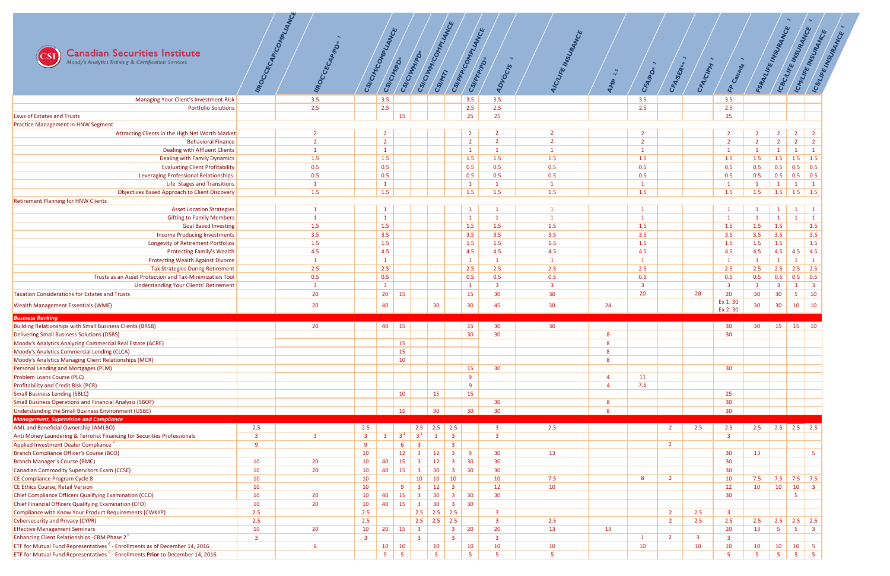

| <b>Canadian Securities Institute</b><br>$\overline{\text{CSI}}$<br>Moody's Analytics Training & Certification Services<br>Managing Your Client's Investment Risk                                    |                | IIROC/CECAP/COMPLIANCE<br>IIROCCECAPIPO<br>3.5 | CSI/CINYCOMPLIANCE      | CSI/CIMPDI<br>3.5         |             | CSI/CIWWW.COMPLI<br>CSI/CIVINADA | CSIMMTI                 | <b>IANCE</b><br>CSI/PRP/COMPLIANCE<br>3.5 | CSI/PFP/PD* | $\sim$<br><b>ADVOCIS</b><br>3.5 | AICILIFE INSURANCE    | $\sim$<br>AMP          | $\sim$<br>CFAIRD*<br>3.5 | CFA/SER*       | $\sim$<br>CFA/CIPM | $\sim$<br>FP Canada<br>3.5 | FSRANLIFE INSURANCE   |                         | ICBC/LIFE INSURANCE           | ICMUREINSURANCE<br>ICSILIFE INSURANCE |
|-----------------------------------------------------------------------------------------------------------------------------------------------------------------------------------------------------|----------------|------------------------------------------------|-------------------------|---------------------------|-------------|----------------------------------|-------------------------|-------------------------------------------|-------------|---------------------------------|-----------------------|------------------------|--------------------------|----------------|--------------------|----------------------------|-----------------------|-------------------------|-------------------------------|---------------------------------------|
| <b>Portfolio Solutions</b>                                                                                                                                                                          |                | 2.5                                            |                         | 2.5                       |             |                                  |                         | 2.5                                       |             | 2.5                             |                       |                        |                          |                |                    | 2.5                        |                       |                         |                               |                                       |
| Laws of Estates and Trusts                                                                                                                                                                          |                |                                                |                         |                           | 15          |                                  |                         | 25                                        |             | 25                              |                       |                        | 2.5                      |                |                    |                            |                       |                         |                               |                                       |
|                                                                                                                                                                                                     |                |                                                |                         |                           |             |                                  |                         |                                           |             |                                 |                       |                        |                          |                |                    | 25                         |                       |                         |                               |                                       |
| <b>Practice Management in HNW Segment</b><br>Attracting Clients in the High Net Worth Market                                                                                                        |                | $\overline{2}$                                 |                         | $\overline{2}$            |             |                                  |                         | $\overline{2}$                            |             |                                 |                       |                        |                          |                |                    |                            |                       | $\overline{2}$          | $\overline{2}$                | $\overline{2}$                        |
| <b>Behavioral Finance</b>                                                                                                                                                                           |                |                                                |                         | $\overline{2}$            |             |                                  |                         | $\overline{2}$                            |             | ຳ                               | $\overline{2}$        |                        |                          |                |                    | $\overline{2}$             | $\overline{2}$        | $\overline{2}$          | $\overline{2}$                | $\overline{2}$                        |
| Dealing with Affluent Clients                                                                                                                                                                       |                |                                                |                         | $\mathbf{1}$              |             |                                  |                         | $\mathbf{1}$                              |             |                                 |                       |                        |                          |                |                    |                            |                       |                         |                               |                                       |
| <b>Dealing with Family Dynamics</b>                                                                                                                                                                 |                | 1.5                                            |                         | 1.5                       |             |                                  |                         | 1.5                                       |             | 1.5                             | 1.5                   |                        | 1.5                      |                |                    | 1.5                        | 1.5                   | 1.5                     | 1.5                           | 1.5                                   |
| <b>Evaluating Client Profitability</b>                                                                                                                                                              |                |                                                |                         | 0.5                       |             |                                  |                         | 0.5                                       |             | 0.5                             |                       |                        | 0.5                      |                |                    | 0.5                        |                       | 0.5                     |                               | $\boxed{0.5}$                         |
|                                                                                                                                                                                                     |                | 0.5                                            |                         |                           |             |                                  |                         |                                           |             |                                 | 0.5                   |                        |                          |                |                    |                            | 0.5                   |                         | 0.5                           |                                       |
| <b>Leveraging Professional Relationships</b>                                                                                                                                                        |                | 0.5                                            |                         | 0.5                       |             |                                  |                         | 0.5                                       |             | 0.5                             | 0.5                   |                        | 0.5                      |                |                    | 0.5                        | 0.5                   | 0.5                     | 0.5                           | 0.5                                   |
| Life Stages and Transitions                                                                                                                                                                         |                |                                                |                         | $\mathbf{1}$              |             |                                  |                         | $\mathbf{1}$                              |             |                                 |                       |                        |                          |                |                    |                            |                       | $\mathbf{1}$            |                               | $\mathbf{1}$                          |
| <b>Objectives Based Approach to Client Discovery</b>                                                                                                                                                |                | 1.5                                            |                         | 1.5                       |             |                                  |                         | 1.5                                       |             | 1.5                             | 1.5                   |                        | 1.5                      |                |                    | 1.5                        | 1.5                   | 1.5                     | $1.5$ 1.5                     |                                       |
| <b>Retirement Planning for HNW Clients</b><br><b>Asset Location Strategies</b>                                                                                                                      |                |                                                |                         |                           |             |                                  |                         |                                           |             |                                 |                       |                        |                          |                |                    |                            |                       |                         |                               | $\overline{1}$                        |
|                                                                                                                                                                                                     |                |                                                |                         | $\mathbf{1}$              |             |                                  |                         | $\mathbf{1}$                              |             |                                 |                       |                        |                          |                |                    |                            |                       | $\mathbf{1}$            | $\mathbf{1}$                  |                                       |
| <b>Gifting to Family Members</b>                                                                                                                                                                    |                |                                                |                         | $\mathbf{1}$              |             |                                  |                         | $\mathbf{1}$                              |             |                                 |                       |                        |                          |                |                    |                            |                       | $\mathbf{1}$            |                               | $\overline{1}$                        |
| <b>Goal Based Investing</b>                                                                                                                                                                         |                | 1.5                                            |                         | 1.5<br>3.5                |             |                                  |                         | 1.5                                       |             | 1.5                             | 1.5                   |                        | 1.5                      |                |                    | 1.5                        | 1.5                   | 1.5                     |                               | 1.5<br>3.5                            |
| <b>Income Producing Investments</b>                                                                                                                                                                 |                | 3.5                                            |                         |                           |             |                                  |                         | 3.5                                       |             | 3.5                             | 3.5                   |                        | 3.5                      |                |                    | 3.5                        | 3.5                   | 3.5                     |                               | 1.5                                   |
| <b>Longevity of Retirement Portfolios</b><br><b>Protecting Family's Wealth</b>                                                                                                                      |                | 1.5                                            |                         | 1.5<br>4.5                |             |                                  |                         | 1.5                                       |             | 1.5                             | 1.5                   |                        | 1.5                      |                |                    | 1.5<br>4.5                 | 1.5<br>4.5            | 1.5                     |                               | 4.5                                   |
|                                                                                                                                                                                                     |                | 4.5                                            |                         |                           |             |                                  |                         | 4.5<br>$\mathbf{1}$                       |             | 4.5                             | 4.5                   |                        | 4.5                      |                |                    |                            |                       | 4.5 4.5<br>$\mathbf{1}$ |                               | $\overline{1}$                        |
| <b>Protecting Wealth Against Divorce</b>                                                                                                                                                            |                | 2.5                                            |                         | 2.5                       |             |                                  |                         |                                           |             | 2.5                             |                       |                        | 2.5                      |                |                    |                            |                       | 2.5                     | 2.5                           | 2.5                                   |
| <b>Tax Strategies During Retirement</b><br>Trusts as an Asset Protection and Tax-Minimization Tool                                                                                                  |                | 0.5                                            |                         | 0.5                       |             |                                  |                         | 2.5                                       |             | 0.5                             | 2.5                   |                        |                          |                |                    | 2.5                        | 2.5                   | 0.5                     | 0.5                           | $\vert 0.5 \vert$                     |
| <b>Understanding Your Clients' Retirement</b>                                                                                                                                                       |                |                                                |                         | $\overline{\mathbf{3}}$   |             |                                  |                         | 0.5<br>$\overline{\mathbf{3}}$            |             | $\overline{3}$                  | 0.5<br>$\overline{3}$ |                        | 0.5                      |                |                    | 0.5<br>-3                  | 0.5<br>$\overline{3}$ | $\overline{\mathbf{3}}$ | $\overline{\mathbf{3}}$       | $\overline{\mathbf{3}}$               |
| <b>Taxation Considerations for Estates and Trusts</b>                                                                                                                                               |                | 20                                             |                         | 20 <sub>2</sub>           | 15          |                                  |                         | 15                                        |             | 30                              | 30 <sup>°</sup>       |                        | 20                       |                | 20                 | 20                         | 30 <sup>°</sup>       |                         |                               | 10                                    |
|                                                                                                                                                                                                     |                |                                                |                         |                           |             |                                  |                         |                                           |             |                                 |                       |                        |                          |                |                    | Ex 1:30                    |                       | 30 <sub>o</sub>         | 5 <sub>o</sub>                |                                       |
| <b>Wealth Management Essentials (WME)</b>                                                                                                                                                           |                |                                                |                         | 40                        |             |                                  | 30                      | 30 <sup>°</sup>                           |             | 45                              | 30 <sup>°</sup>       |                        |                          |                |                    |                            |                       |                         | 10                            | 10                                    |
|                                                                                                                                                                                                     |                | 20                                             |                         |                           |             |                                  |                         |                                           |             |                                 |                       | 24                     |                          |                |                    |                            | 30 <sub>o</sub>       | 30 <sub>o</sub>         |                               |                                       |
|                                                                                                                                                                                                     |                |                                                |                         |                           |             |                                  |                         |                                           |             |                                 |                       |                        |                          |                |                    | Ex 2:30                    |                       |                         |                               |                                       |
| <b>Business Banking</b>                                                                                                                                                                             |                |                                                |                         |                           |             |                                  |                         |                                           |             |                                 |                       |                        |                          |                |                    |                            |                       |                         |                               |                                       |
| <b>Building Relationships with Small Business Clients (BRSB)</b>                                                                                                                                    |                | 20                                             |                         | 40                        | 15          |                                  |                         | 15                                        |             | 30 <sup>°</sup>                 | 30 <sup>°</sup>       |                        |                          |                |                    | 30                         | 30 <sup>°</sup>       |                         | $15$ 15 10                    |                                       |
| Delivering Small Business Solutions (DSBS)                                                                                                                                                          |                |                                                |                         |                           |             |                                  |                         | 30 <sup>°</sup>                           |             | 30 <sup>°</sup>                 |                       | 8<br>8                 |                          |                |                    | 30                         |                       |                         |                               |                                       |
| Moody's Analytics Analyzing Commercial Real Estate (ACRE)                                                                                                                                           |                |                                                |                         |                           | 15          |                                  |                         |                                           |             |                                 |                       |                        |                          |                |                    |                            |                       |                         |                               |                                       |
| Moody's Analytics Commercial Lending (CLCA)                                                                                                                                                         |                |                                                |                         |                           | 15          |                                  |                         |                                           |             |                                 |                       | 8                      |                          |                |                    |                            |                       |                         |                               |                                       |
| Moody's Analytics Managing Client Relationships (MCR)                                                                                                                                               |                |                                                |                         |                           | 10          |                                  |                         |                                           |             |                                 |                       | 8                      |                          |                |                    |                            |                       |                         |                               |                                       |
| Personal Lending and Mortgages (PLM)                                                                                                                                                                |                |                                                |                         |                           |             |                                  |                         | 15                                        |             | 30 <sup>°</sup>                 |                       | $\boldsymbol{\Lambda}$ |                          |                |                    | 30 <sup>°</sup>            |                       |                         |                               |                                       |
| Problem Loans Course (PLC)                                                                                                                                                                          |                |                                                |                         |                           |             |                                  |                         | 9<br>9                                    |             |                                 |                       | $\boldsymbol{\Lambda}$ | 11<br>7.5                |                |                    |                            |                       |                         |                               |                                       |
| <b>Profitability and Credit Risk (PCR)</b>                                                                                                                                                          |                |                                                |                         |                           |             |                                  |                         |                                           |             |                                 |                       |                        |                          |                |                    |                            |                       |                         |                               |                                       |
| <b>Small Business Lending (SBLC)</b><br><b>Small Business Operations and Financial Analysis (SBOF)</b>                                                                                              |                |                                                |                         |                           | 10          |                                  | 15                      | 15                                        |             | 30                              |                       | 8                      |                          |                |                    | 25<br>30                   |                       |                         |                               |                                       |
| Understanding the Small Business Environment (USBE)                                                                                                                                                 |                |                                                |                         |                           | 15          |                                  | 30 <sup>°</sup>         | 30 <sup>°</sup>                           |             | 30 <sup>°</sup>                 |                       | 8                      |                          |                |                    | 30 <sup>°</sup>            |                       |                         |                               |                                       |
| <b>Management, Supervision and Compliance</b>                                                                                                                                                       |                |                                                |                         |                           |             |                                  |                         |                                           |             |                                 |                       |                        |                          |                |                    |                            |                       |                         |                               |                                       |
| <b>AML and Beneficial Ownership (AMLBO)</b>                                                                                                                                                         | 2.5            |                                                | 2.5                     |                           |             |                                  | 2.5 2.5 2.5             |                                           |             | $\mathbf{3}$                    | 2.5                   |                        |                          | $\overline{2}$ | 2.5                | 2.5                        | 2.5                   | 2.5   2.5   2.5         |                               |                                       |
| Anti Money Laundering & Terrorist Financing for Securities Professionals                                                                                                                            | $\overline{3}$ | $\mathbf{R}$                                   | $\overline{\mathbf{3}}$ | $\overline{\mathbf{3}}$   | $3^1$       | $3^1$                            | $\overline{\mathbf{3}}$ | $\overline{\mathbf{3}}$                   |             | $\overline{\mathbf{3}}$         |                       |                        |                          |                |                    | 3                          |                       |                         |                               |                                       |
| Applied Investment Dealer Compliance <sup>2</sup>                                                                                                                                                   | $\alpha$       |                                                | -9                      |                           | 6           | $\overline{3}$                   |                         | $\overline{\mathbf{3}}$                   |             |                                 |                       |                        |                          | $\overline{2}$ |                    |                            |                       |                         |                               |                                       |
| Branch Compliance Officer's Course (BCO)                                                                                                                                                            |                |                                                | 10                      |                           | 12          | $\overline{3}$                   | 12                      | $\overline{\mathbf{3}}$<br>9              |             | 30 <sub>o</sub>                 | 13                    |                        |                          |                |                    | 30                         | 13                    |                         |                               | 5 <sup>1</sup>                        |
| <b>Branch Manager's Course (BMC)</b>                                                                                                                                                                | 10             | 20                                             | 10                      | 40                        | 15          | $\overline{\mathbf{3}}$          | 12                      | $\overline{\mathbf{3}}$<br>$\vert$ 30     |             | 30                              |                       |                        |                          |                |                    | 30                         |                       |                         |                               |                                       |
| Canadian Commodity Supervisors Exam (CCSE)                                                                                                                                                          | 10             | 20 <sub>2</sub>                                | 10                      | 40                        | 15          | $\overline{\mathbf{3}}$          | 30                      | 30<br>$\overline{\mathbf{3}}$             |             | 30                              |                       |                        |                          |                |                    | 30                         |                       |                         |                               |                                       |
| CE Compliance Program Cycle 8                                                                                                                                                                       | 10             |                                                | 10                      |                           |             | 10                               | 10                      | 10                                        |             | 10 <sup>°</sup>                 | 7.5                   |                        | 8                        | $\overline{2}$ |                    | 10                         | 7.5                   |                         | 7.5 7.5 7.5                   |                                       |
| CE Ethics Course, Retail Version                                                                                                                                                                    | 10             |                                                | 10                      |                           | 9           | $\overline{\mathbf{3}}$          | 12                      | $\overline{\mathbf{3}}$                   |             | 12                              | 10                    |                        |                          |                |                    | 12                         | 10                    | 10 <sup>°</sup>         | 10                            | $\overline{\mathbf{3}}$               |
| Chief Compliance Officers Qualifying Examination (CCO)                                                                                                                                              | 10             | 20                                             | 10                      | 40                        | 15          | $\overline{\mathbf{3}}$          | 30 <sup>°</sup>         | 30<br>$\overline{\mathbf{3}}$             |             | 30 <sup>°</sup>                 |                       |                        |                          |                |                    | 30                         |                       |                         | 5                             |                                       |
| Chief Financial Officers Qualifying Examination (CFO)                                                                                                                                               | 10             | 20 <sub>2</sub>                                | 10                      |                           |             |                                  |                         | 40 15 3 30 3 30                           |             |                                 |                       |                        |                          |                |                    |                            |                       |                         |                               |                                       |
| Compliance with Know Your Product Requirements (CWKYP)                                                                                                                                              | 2.5            |                                                | 2.5                     |                           |             |                                  | $2.5$ 2.5 2.5           |                                           |             | $\overline{3}$                  |                       |                        |                          | $\overline{2}$ | 2.5                |                            |                       |                         |                               |                                       |
| Cybersecurity and Privacy (CYPR)                                                                                                                                                                    | 2.5            |                                                | 2.5                     |                           |             |                                  | 2.5 2.5 2.5             |                                           |             |                                 | $2.5$                 |                        |                          |                | 2.5                | 2.5                        | 2.5                   |                         | 2.5 2.5 2.5                   |                                       |
| <b>Effective Management Seminars</b>                                                                                                                                                                | 10             | 20                                             | 10                      | $20 \mid 15$              |             | $\overline{\mathbf{3}}$          |                         | $3 \mid 20$                               |             | 20                              | 13                    | 13                     |                          |                |                    | 20                         | 13                    | 5 <sub>1</sub>          | 5 <sup>5</sup>                | $\vert$ 3                             |
| <b>Enhancing Client Relationships -CRM Phase 2<sup>6</sup></b>                                                                                                                                      | $\overline{3}$ |                                                | $\overline{\mathbf{3}}$ |                           |             | $\overline{\mathbf{3}}$          |                         | $\overline{\mathbf{3}}$                   |             |                                 |                       |                        |                          | $\overline{2}$ |                    | -3                         |                       |                         |                               |                                       |
| <b>ETF for Mutual Fund Representatives <math>6</math> - Enrollments as of December 14, 2016</b><br><b>ETF for Mutual Fund Representatives <sup>6</sup> - Enrollments Prior to December 14, 2016</b> |                | 6                                              |                         | $10 \mid 10$<br>$5 \vert$ | $5^{\circ}$ |                                  | 10                      | 10                                        |             | 10                              | 10                    |                        | 10                       |                | 10                 | 10                         | 10                    | 10<br>$5 -$             | $10 \mid 5$<br>5 <sup>5</sup> | 5 <sup>5</sup>                        |